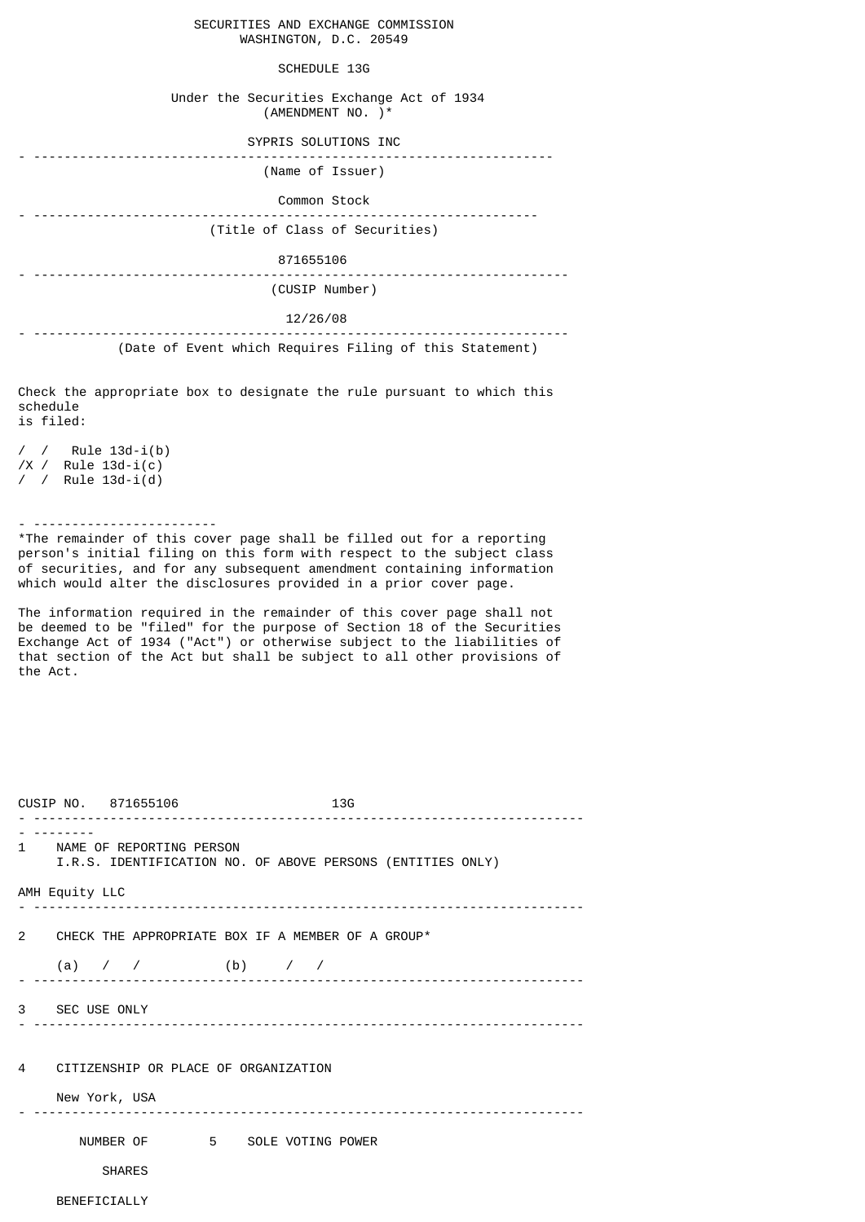## SECURITIES AND EXCHANGE COMMISSION WASHINGTON, D.C. 20549

## SCHEDULE 13G

## Under the Securities Exchange Act of 1934 (AMENDMENT NO. )\*

| SYPRIS SOLUTIONS INC           |
|--------------------------------|
| (Name of Issuer)               |
| Common Stock                   |
| (Title of Class of Securities) |
| 871655106                      |
| (CUSIP Number)                 |
| 12/26/08                       |
|                                |

(Date of Event which Requires Filing of this Statement)

Check the appropriate box to designate the rule pursuant to which this schedule is filed:

/ / Rule 13d-i(b) /X / Rule 13d-i(c) / / Rule 13d-i(d)

- ------------------------

\*The remainder of this cover page shall be filled out for a reporting person's initial filing on this form with respect to the subject class of securities, and for any subsequent amendment containing information which would alter the disclosures provided in a prior cover page.

The information required in the remainder of this cover page shall not be deemed to be "filed" for the purpose of Section 18 of the Securities Exchange Act of 1934 ("Act") or otherwise subject to the liabilities of that section of the Act but shall be subject to all other provisions of the Act.

|                | CUSIP NO. 871655106                                                                      |  | <u></u> | 13G |  |  |  |
|----------------|------------------------------------------------------------------------------------------|--|---------|-----|--|--|--|
|                | 1 NAME OF REPORTING PERSON<br>I.R.S. IDENTIFICATION NO. OF ABOVE PERSONS (ENTITIES ONLY) |  |         |     |  |  |  |
| AMH Equity LLC |                                                                                          |  |         |     |  |  |  |
|                | 2 CHECK THE APPROPRIATE BOX IF A MEMBER OF A GROUP*                                      |  |         |     |  |  |  |
|                | (a) / / (b) / /                                                                          |  |         |     |  |  |  |
| 3 SEC USE ONLY |                                                                                          |  |         |     |  |  |  |
|                | 4 CITIZENSHIP OR PLACE OF ORGANIZATION<br>New York, USA                                  |  |         |     |  |  |  |
|                |                                                                                          |  |         |     |  |  |  |
|                | NUMBER OF 5 SOLE VOTING POWER                                                            |  |         |     |  |  |  |
|                | <b>SHARES</b>                                                                            |  |         |     |  |  |  |
| BENEFICIALLY   |                                                                                          |  |         |     |  |  |  |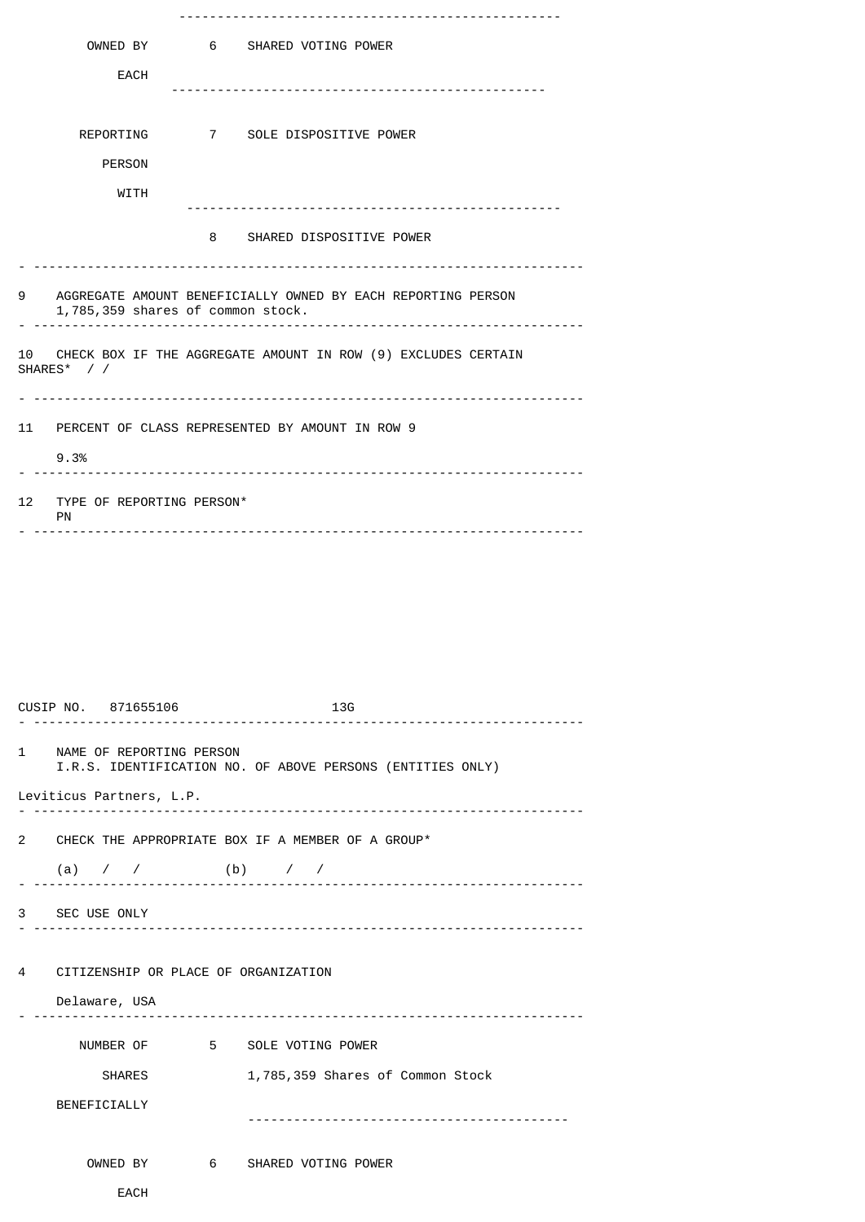|                                                                                    | OWNED BY                          |  | 6 SHARED VOTING POWER                                        |  |
|------------------------------------------------------------------------------------|-----------------------------------|--|--------------------------------------------------------------|--|
|                                                                                    | <b>EACH</b>                       |  |                                                              |  |
|                                                                                    |                                   |  |                                                              |  |
|                                                                                    | REPORTING                         |  | 7 SOLE DISPOSITIVE POWER                                     |  |
|                                                                                    | <b>PERSON</b>                     |  |                                                              |  |
|                                                                                    | <b>WITH</b>                       |  |                                                              |  |
|                                                                                    |                                   |  | 8 SHARED DISPOSITIVE POWER                                   |  |
|                                                                                    |                                   |  |                                                              |  |
| 9                                                                                  | 1,785,359 shares of common stock. |  | AGGREGATE AMOUNT BENEFICIALLY OWNED BY EACH REPORTING PERSON |  |
| CHECK BOX IF THE AGGREGATE AMOUNT IN ROW (9) EXCLUDES CERTAIN<br>10<br>SHARES* / / |                                   |  |                                                              |  |
|                                                                                    |                                   |  |                                                              |  |
|                                                                                    |                                   |  | 11 PERCENT OF CLASS REPRESENTED BY AMOUNT IN ROW 9           |  |
|                                                                                    | 9.3%                              |  |                                                              |  |
| 12                                                                                 | TYPE OF REPORTING PERSON*<br>PN   |  |                                                              |  |
|                                                                                    |                                   |  |                                                              |  |

|   |                | CUSIP NO. 871655106                  | 13G                                                        |
|---|----------------|--------------------------------------|------------------------------------------------------------|
|   |                | 1 NAME OF REPORTING PERSON           | I.R.S. IDENTIFICATION NO. OF ABOVE PERSONS (ENTITIES ONLY) |
|   |                | Leviticus Partners, L.P.             |                                                            |
|   |                |                                      | 2 CHECK THE APPROPRIATE BOX IF A MEMBER OF A GROUP*        |
|   |                | (a) / / (b) / /                      |                                                            |
|   | 3 SEC USE ONLY |                                      |                                                            |
|   |                |                                      |                                                            |
| 4 |                | CITIZENSHIP OR PLACE OF ORGANIZATION |                                                            |
|   |                | Delaware, USA                        |                                                            |
|   |                |                                      | NUMBER OF 5 SOLE VOTING POWER                              |
|   |                | <b>SHARES</b>                        | 1,785,359 Shares of Common Stock                           |
|   | BENEFICIALLY   |                                      |                                                            |
|   |                |                                      |                                                            |
|   |                |                                      | OWNED BY 6 SHARED VOTING POWER                             |
|   |                | <b>EACH</b>                          |                                                            |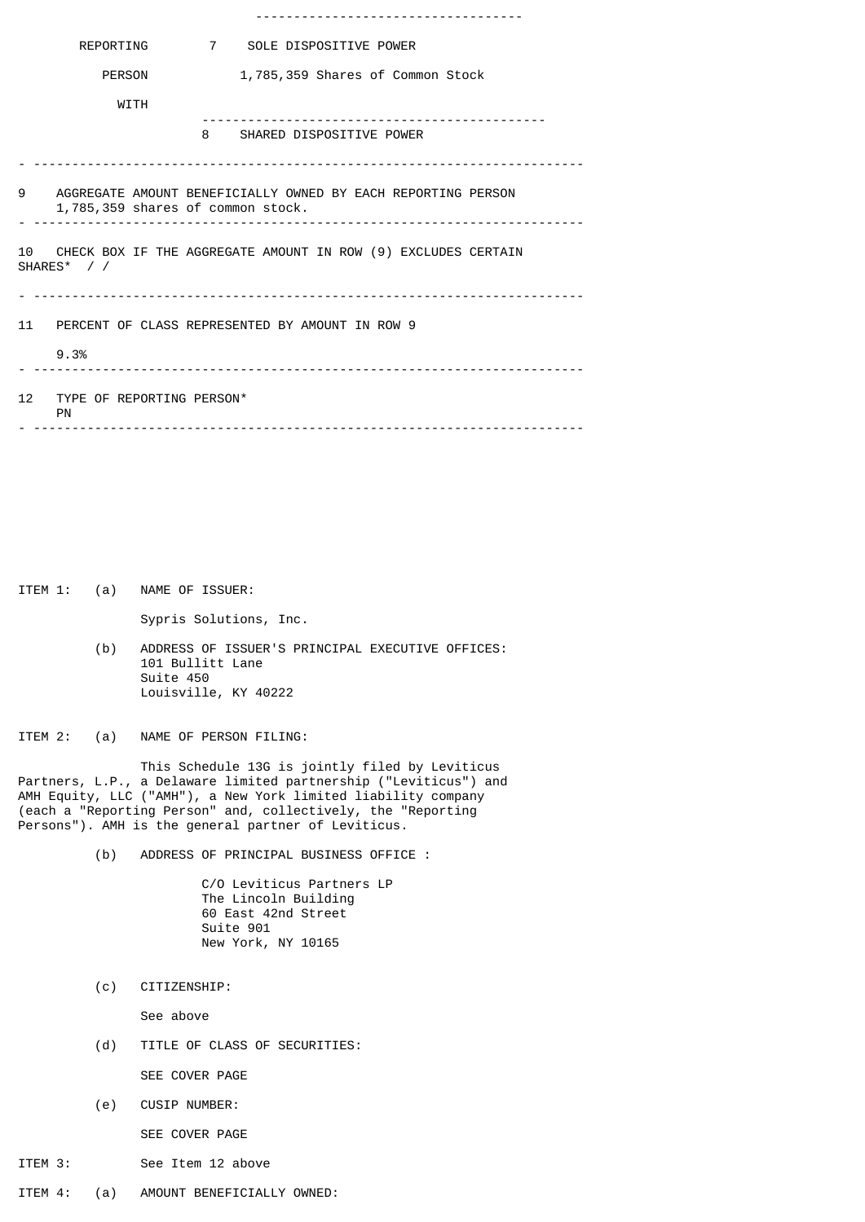|    | REPORTING                                                                               |  | 7 SOLE DISPOSITIVE POWER                                     |  |  |  |
|----|-----------------------------------------------------------------------------------------|--|--------------------------------------------------------------|--|--|--|
|    | <b>PERSON</b>                                                                           |  | 1,785,359 Shares of Common Stock                             |  |  |  |
|    | WITH                                                                                    |  |                                                              |  |  |  |
|    |                                                                                         |  | 8 SHARED DISPOSITIVE POWER                                   |  |  |  |
|    |                                                                                         |  |                                                              |  |  |  |
| 9  | 1,785,359 shares of common stock.                                                       |  | AGGREGATE AMOUNT BENEFICIALLY OWNED BY EACH REPORTING PERSON |  |  |  |
| 10 | CHECK BOX IF THE AGGREGATE AMOUNT IN ROW (9) EXCLUDES CERTAIN<br>SHARES* //<br><u>.</u> |  |                                                              |  |  |  |
|    | 9.3%                                                                                    |  | 11 PERCENT OF CLASS REPRESENTED BY AMOUNT IN ROW 9           |  |  |  |
| 12 | TYPE OF REPORTING PERSON*<br>PN                                                         |  |                                                              |  |  |  |
|    |                                                                                         |  |                                                              |  |  |  |

ITEM 1: (a) NAME OF ISSUER:

Sypris Solutions, Inc.

 (b) ADDRESS OF ISSUER'S PRINCIPAL EXECUTIVE OFFICES: 101 Bullitt Lane Suite 450 Louisville, KY 40222

ITEM 2: (a) NAME OF PERSON FILING:

 This Schedule 13G is jointly filed by Leviticus Partners, L.P., a Delaware limited partnership ("Leviticus") and AMH Equity, LLC ("AMH"), a New York limited liability company (each a "Reporting Person" and, collectively, the "Reporting Persons"). AMH is the general partner of Leviticus.

(b) ADDRESS OF PRINCIPAL BUSINESS OFFICE :

 C/O Leviticus Partners LP The Lincoln Building 60 East 42nd Street Suite 901 New York, NY 10165

(c) CITIZENSHIP:

See above

(d) TITLE OF CLASS OF SECURITIES:

SEE COVER PAGE

(e) CUSIP NUMBER:

SEE COVER PAGE

- ITEM 3: See Item 12 above
- ITEM 4: (a) AMOUNT BENEFICIALLY OWNED: